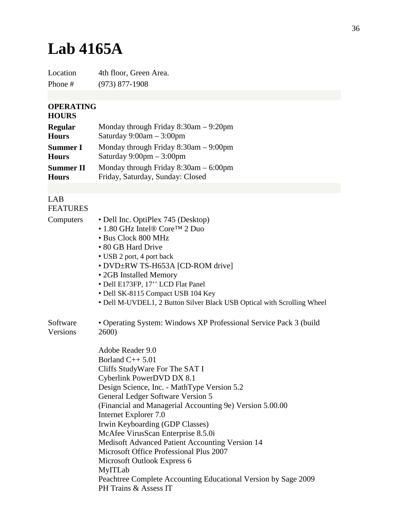## **Lab 4165A**

Location 4th floor, Green Area. Phone # (973) 877-1908

## **OPERATING**

## **HOURS**

| <b>Regular</b>   | Monday through Friday $8:30$ am $-9:20$ pm |
|------------------|--------------------------------------------|
| <b>Hours</b>     | Saturday $9:00am - 3:00pm$                 |
| <b>Summer I</b>  | Monday through Friday $8:30$ am $-9:00$ pm |
| <b>Hours</b>     | Saturday $9:00 \text{pm} - 3:00 \text{pm}$ |
| <b>Summer II</b> | Monday through Friday $8:30$ am $-6:00$ pm |
| <b>Hours</b>     | Friday, Saturday, Sunday: Closed           |

## LAB FEATURES

| Computers            | • Dell Inc. OptiPlex 745 (Desktop)<br>• 1.80 GHz Intel® Core <sup>TM</sup> 2 Duo<br>• Bus Clock 800 MHz<br>• 80 GB Hard Drive<br>• USB 2 port, 4 port back<br>• DVD±RW TS-H653A [CD-ROM drive]<br>• 2GB Installed Memory<br>· Dell E173FP, 17" LCD Flat Panel<br>• Dell SK-8115 Compact USB 104 Key<br>• Dell M-UVDEL1, 2 Button Silver Black USB Optical with Scrolling Wheel |
|----------------------|--------------------------------------------------------------------------------------------------------------------------------------------------------------------------------------------------------------------------------------------------------------------------------------------------------------------------------------------------------------------------------|
| Software<br>Versions | • Operating System: Windows XP Professional Service Pack 3 (build<br>2600)                                                                                                                                                                                                                                                                                                     |
|                      | Adobe Reader 9.0                                                                                                                                                                                                                                                                                                                                                               |
|                      | Borland $C_{++}$ 5.01                                                                                                                                                                                                                                                                                                                                                          |
|                      | Cliffs StudyWare For The SAT I                                                                                                                                                                                                                                                                                                                                                 |
|                      | Cyberlink PowerDVD DX 8.1                                                                                                                                                                                                                                                                                                                                                      |
|                      | Design Science, Inc. - MathType Version 5.2                                                                                                                                                                                                                                                                                                                                    |
|                      | General Ledger Software Version 5                                                                                                                                                                                                                                                                                                                                              |
|                      | (Financial and Managerial Accounting 9e) Version 5.00.00                                                                                                                                                                                                                                                                                                                       |
|                      | Internet Explorer 7.0                                                                                                                                                                                                                                                                                                                                                          |
|                      | Irwin Keyboarding (GDP Classes)                                                                                                                                                                                                                                                                                                                                                |
|                      | McAfee VirusScan Enterprise 8.5.0i                                                                                                                                                                                                                                                                                                                                             |
|                      | Medisoft Advanced Patient Accounting Version 14                                                                                                                                                                                                                                                                                                                                |
|                      | Microsoft Office Professional Plus 2007                                                                                                                                                                                                                                                                                                                                        |
|                      | Microsoft Outlook Express 6                                                                                                                                                                                                                                                                                                                                                    |
|                      | MyITLab                                                                                                                                                                                                                                                                                                                                                                        |
|                      | Peachtree Complete Accounting Educational Version by Sage 2009                                                                                                                                                                                                                                                                                                                 |
|                      | PH Trains & Assess IT                                                                                                                                                                                                                                                                                                                                                          |